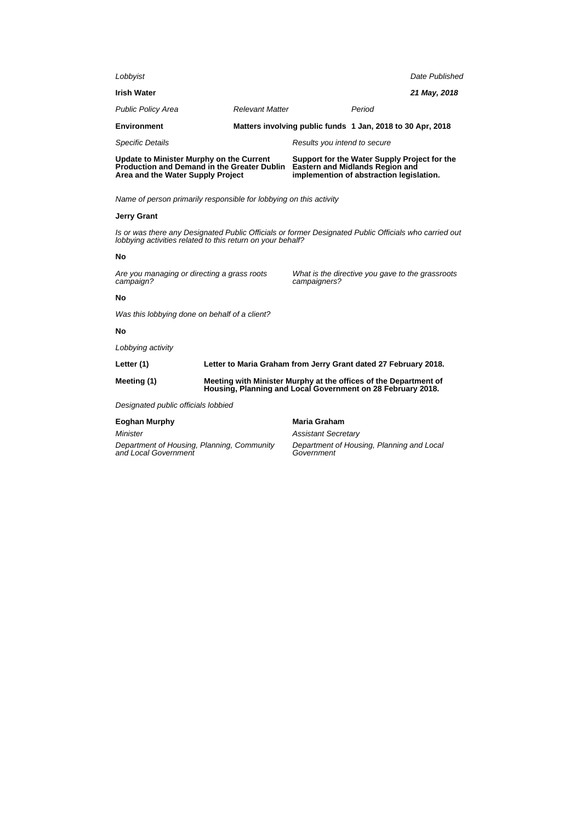| Lobbyist                                                                                                                                                            |                                                                                                                                 |                                                                                                                                    |        | Date Published |  |
|---------------------------------------------------------------------------------------------------------------------------------------------------------------------|---------------------------------------------------------------------------------------------------------------------------------|------------------------------------------------------------------------------------------------------------------------------------|--------|----------------|--|
|                                                                                                                                                                     |                                                                                                                                 |                                                                                                                                    |        |                |  |
| <b>Irish Water</b>                                                                                                                                                  |                                                                                                                                 |                                                                                                                                    |        | 21 May, 2018   |  |
| <b>Public Policy Area</b>                                                                                                                                           | <b>Relevant Matter</b>                                                                                                          |                                                                                                                                    | Period |                |  |
| <b>Environment</b>                                                                                                                                                  |                                                                                                                                 | Matters involving public funds 1 Jan, 2018 to 30 Apr, 2018                                                                         |        |                |  |
| <b>Specific Details</b>                                                                                                                                             |                                                                                                                                 | Results you intend to secure                                                                                                       |        |                |  |
| Update to Minister Murphy on the Current<br>Production and Demand in the Greater Dublin<br>Area and the Water Supply Project                                        |                                                                                                                                 | Support for the Water Supply Project for the<br><b>Eastern and Midlands Region and</b><br>implemention of abstraction legislation. |        |                |  |
| Name of person primarily responsible for lobbying on this activity                                                                                                  |                                                                                                                                 |                                                                                                                                    |        |                |  |
| <b>Jerry Grant</b>                                                                                                                                                  |                                                                                                                                 |                                                                                                                                    |        |                |  |
| Is or was there any Designated Public Officials or former Designated Public Officials who carried out<br>lobbying activities related to this return on your behalf? |                                                                                                                                 |                                                                                                                                    |        |                |  |
| No                                                                                                                                                                  |                                                                                                                                 |                                                                                                                                    |        |                |  |
| Are you managing or directing a grass roots<br>campaign?                                                                                                            |                                                                                                                                 | What is the directive you gave to the grassroots<br>campaigners?                                                                   |        |                |  |
| No                                                                                                                                                                  |                                                                                                                                 |                                                                                                                                    |        |                |  |
| Was this lobbying done on behalf of a client?                                                                                                                       |                                                                                                                                 |                                                                                                                                    |        |                |  |
| No                                                                                                                                                                  |                                                                                                                                 |                                                                                                                                    |        |                |  |
| Lobbying activity                                                                                                                                                   |                                                                                                                                 |                                                                                                                                    |        |                |  |
| Letter (1)                                                                                                                                                          | Letter to Maria Graham from Jerry Grant dated 27 February 2018.                                                                 |                                                                                                                                    |        |                |  |
| Meeting (1)                                                                                                                                                         | Meeting with Minister Murphy at the offices of the Department of<br>Housing, Planning and Local Government on 28 February 2018. |                                                                                                                                    |        |                |  |
| Designated public officials lobbied                                                                                                                                 |                                                                                                                                 |                                                                                                                                    |        |                |  |
| <b>Eoghan Murphy</b>                                                                                                                                                |                                                                                                                                 | Maria Graham                                                                                                                       |        |                |  |
| Minister                                                                                                                                                            |                                                                                                                                 | <b>Assistant Secretary</b>                                                                                                         |        |                |  |
| Department of Housing, Planning, Community<br>and Local Government                                                                                                  |                                                                                                                                 | Department of Housing, Planning and Local<br>Government                                                                            |        |                |  |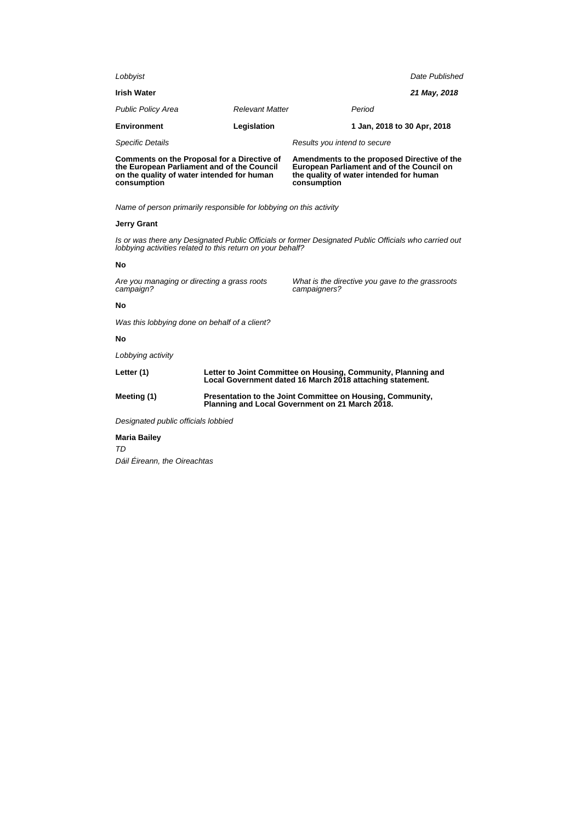| Lobbyist                                                                                                                                                            |                                                                                                                            | Date Published                                                                                                                                     |  |  |  |
|---------------------------------------------------------------------------------------------------------------------------------------------------------------------|----------------------------------------------------------------------------------------------------------------------------|----------------------------------------------------------------------------------------------------------------------------------------------------|--|--|--|
| <b>Irish Water</b>                                                                                                                                                  |                                                                                                                            | 21 May, 2018                                                                                                                                       |  |  |  |
| <b>Public Policy Area</b>                                                                                                                                           | <b>Relevant Matter</b>                                                                                                     | Period                                                                                                                                             |  |  |  |
| <b>Environment</b>                                                                                                                                                  | Legislation                                                                                                                | 1 Jan, 2018 to 30 Apr, 2018                                                                                                                        |  |  |  |
| <b>Specific Details</b>                                                                                                                                             |                                                                                                                            | Results you intend to secure                                                                                                                       |  |  |  |
| <b>Comments on the Proposal for a Directive of</b><br>the European Parliament and of the Council<br>on the quality of water intended for human<br>consumption       |                                                                                                                            | Amendments to the proposed Directive of the<br>European Parliament and of the Council on<br>the quality of water intended for human<br>consumption |  |  |  |
| Name of person primarily responsible for lobbying on this activity                                                                                                  |                                                                                                                            |                                                                                                                                                    |  |  |  |
| <b>Jerry Grant</b>                                                                                                                                                  |                                                                                                                            |                                                                                                                                                    |  |  |  |
| Is or was there any Designated Public Officials or former Designated Public Officials who carried out<br>lobbying activities related to this return on your behalf? |                                                                                                                            |                                                                                                                                                    |  |  |  |
| No                                                                                                                                                                  |                                                                                                                            |                                                                                                                                                    |  |  |  |
| Are you managing or directing a grass roots<br>campaign?                                                                                                            |                                                                                                                            | What is the directive you gave to the grassroots<br>campaigners?                                                                                   |  |  |  |
| Nο                                                                                                                                                                  |                                                                                                                            |                                                                                                                                                    |  |  |  |
| Was this lobbying done on behalf of a client?                                                                                                                       |                                                                                                                            |                                                                                                                                                    |  |  |  |
| Nο                                                                                                                                                                  |                                                                                                                            |                                                                                                                                                    |  |  |  |
| Lobbying activity                                                                                                                                                   |                                                                                                                            |                                                                                                                                                    |  |  |  |
| Letter (1)                                                                                                                                                          | Letter to Joint Committee on Housing, Community, Planning and<br>Local Government dated 16 March 2018 attaching statement. |                                                                                                                                                    |  |  |  |
| Meeting (1)                                                                                                                                                         | Presentation to the Joint Committee on Housing, Community,<br>Planning and Local Government on 21 March 2018.              |                                                                                                                                                    |  |  |  |
| Designated public officials lobbied                                                                                                                                 |                                                                                                                            |                                                                                                                                                    |  |  |  |
|                                                                                                                                                                     |                                                                                                                            |                                                                                                                                                    |  |  |  |

**Maria Bailey** TD Dáil Éireann, the Oireachtas